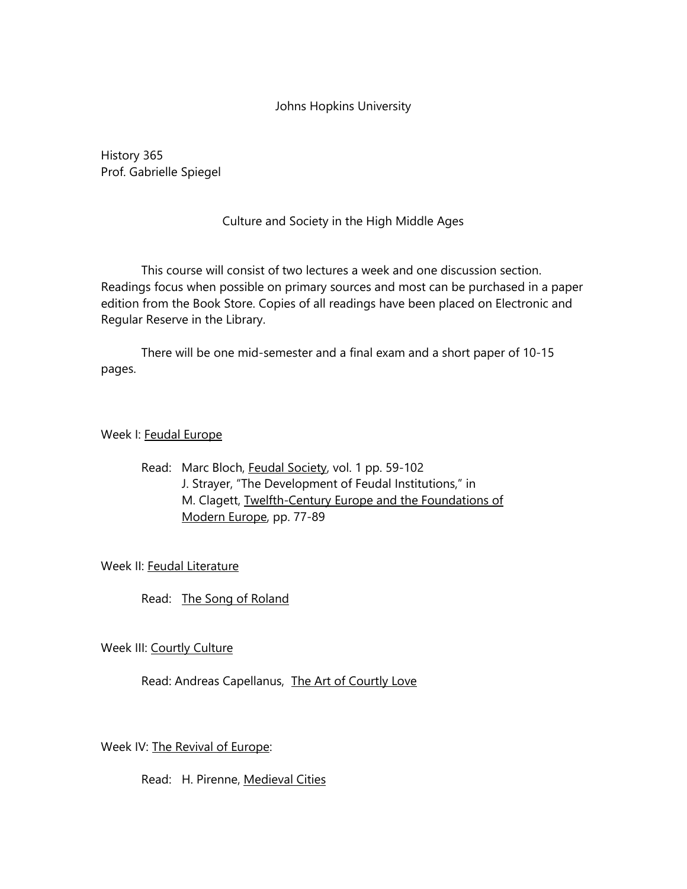### Johns Hopkins University

History 365 Prof. Gabrielle Spiegel

## Culture and Society in the High Middle Ages

This course will consist of two lectures a week and one discussion section. Readings focus when possible on primary sources and most can be purchased in a paper edition from the Book Store. Copies of all readings have been placed on Electronic and Regular Reserve in the Library.

There will be one mid-semester and a final exam and a short paper of 10-15 pages.

### Week I: Feudal Europe

Read: Marc Bloch, Feudal Society, vol. 1 pp. 59-102 J. Strayer, "The Development of Feudal Institutions," in M. Clagett, Twelfth-Century Europe and the Foundations of Modern Europe, pp. 77-89

### Week II: Feudal Literature

Read: The Song of Roland

# Week III: Courtly Culture

### Read: Andreas Capellanus, The Art of Courtly Love

### Week IV: The Revival of Europe:

Read: H. Pirenne, Medieval Cities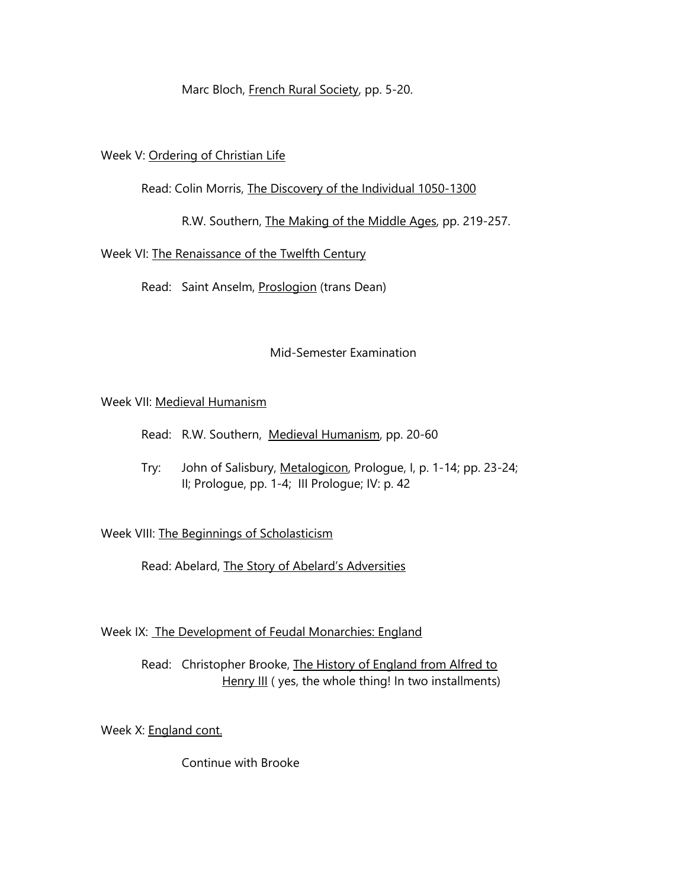Marc Bloch, French Rural Society, pp. 5-20.

### Week V: Ordering of Christian Life

### Read: Colin Morris, The Discovery of the Individual 1050-1300

R.W. Southern, The Making of the Middle Ages, pp. 219-257.

## Week VI: The Renaissance of the Twelfth Century

Read: Saint Anselm, Proslogion (trans Dean)

## Mid-Semester Examination

## Week VII: Medieval Humanism

- Read: R.W. Southern, Medieval Humanism, pp. 20-60
- Try: John of Salisbury, Metalogicon, Prologue, I, p. 1-14; pp. 23-24; II; Prologue, pp. 1-4; III Prologue; IV: p. 42

# Week VIII: The Beginnings of Scholasticism

Read: Abelard, The Story of Abelard's Adversities

### Week IX: The Development of Feudal Monarchies: England

Read: Christopher Brooke, The History of England from Alfred to Henry III ( yes, the whole thing! In two installments)

Week X: England cont.

Continue with Brooke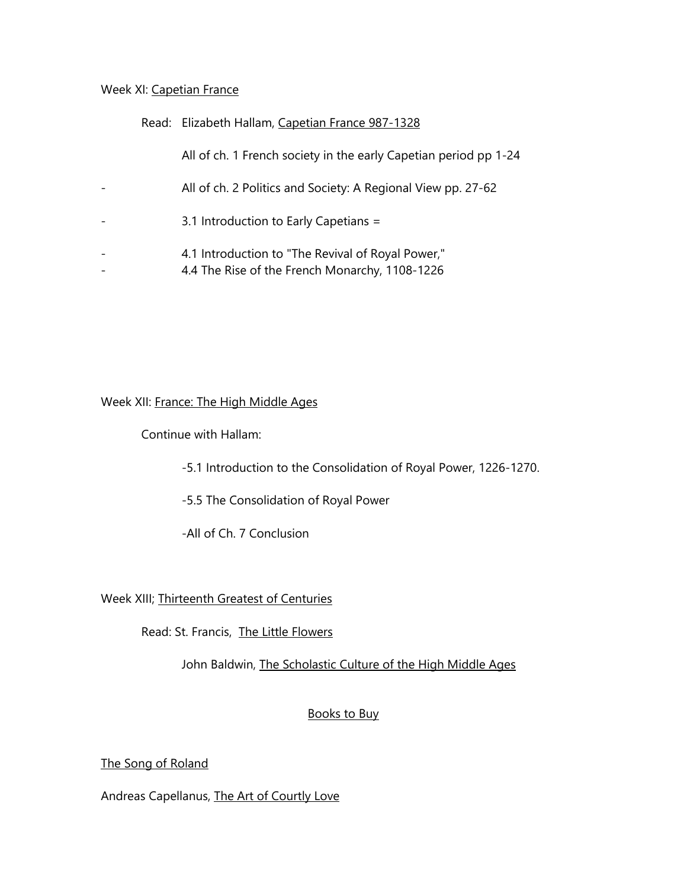#### Week XI: Capetian France

### Read: Elizabeth Hallam, Capetian France 987-1328

All of ch. 1 French society in the early Capetian period pp 1-24

- All of ch. 2 Politics and Society: A Regional View pp. 27-62
- 3.1 Introduction to Early Capetians =
- 4.1 Introduction to "The Revival of Royal Power,"
- 4.4 The Rise of the French Monarchy, 1108-1226

Week XII: France: The High Middle Ages

Continue with Hallam:

- -5.1 Introduction to the Consolidation of Royal Power, 1226-1270.
- -5.5 The Consolidation of Royal Power

-All of Ch. 7 Conclusion

Week XIII; Thirteenth Greatest of Centuries

Read: St. Francis, The Little Flowers

John Baldwin, The Scholastic Culture of the High Middle Ages

# Books to Buy

# The Song of Roland

Andreas Capellanus, The Art of Courtly Love